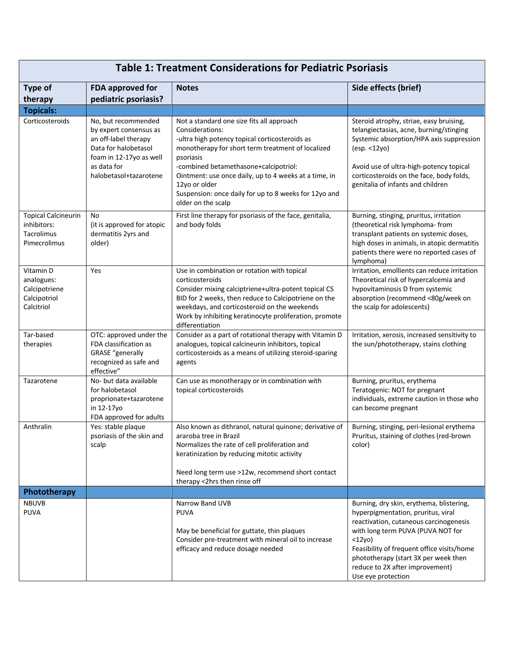| <b>Table 1: Treatment Considerations for Pediatric Psoriasis</b>        |                                                                                                                                                                   |                                                                                                                                                                                                                                                                                                                                                                                    |                                                                                                                                                                                                                                                                                                                           |  |  |
|-------------------------------------------------------------------------|-------------------------------------------------------------------------------------------------------------------------------------------------------------------|------------------------------------------------------------------------------------------------------------------------------------------------------------------------------------------------------------------------------------------------------------------------------------------------------------------------------------------------------------------------------------|---------------------------------------------------------------------------------------------------------------------------------------------------------------------------------------------------------------------------------------------------------------------------------------------------------------------------|--|--|
| <b>Type of</b><br>therapy                                               | FDA approved for<br>pediatric psoriasis?                                                                                                                          | <b>Notes</b>                                                                                                                                                                                                                                                                                                                                                                       | Side effects (brief)                                                                                                                                                                                                                                                                                                      |  |  |
| <b>Topicals:</b>                                                        |                                                                                                                                                                   |                                                                                                                                                                                                                                                                                                                                                                                    |                                                                                                                                                                                                                                                                                                                           |  |  |
| Corticosteroids                                                         | No, but recommended<br>by expert consensus as<br>an off-label therapy<br>Data for halobetasol<br>foam in 12-17yo as well<br>as data for<br>halobetasol+tazarotene | Not a standard one size fits all approach<br>Considerations:<br>-ultra high potency topical corticosteroids as<br>monotherapy for short term treatment of localized<br>psoriasis<br>-combined betamethasone+calcipotriol:<br>Ointment: use once daily, up to 4 weeks at a time, in<br>12yo or older<br>Suspension: once daily for up to 8 weeks for 12yo and<br>older on the scalp | Steroid atrophy, striae, easy bruising,<br>telangiectasias, acne, burning/stinging<br>Systemic absorption/HPA axis suppression<br>(esp. < 12yo)<br>Avoid use of ultra-high-potency topical<br>corticosteroids on the face, body folds,<br>genitalia of infants and children                                               |  |  |
| <b>Topical Calcineurin</b><br>inhibitors:<br>Tacrolimus<br>Pimecrolimus | No<br>(it is approved for atopic<br>dermatitis 2yrs and<br>older)                                                                                                 | First line therapy for psoriasis of the face, genitalia,<br>and body folds                                                                                                                                                                                                                                                                                                         | Burning, stinging, pruritus, irritation<br>(theoretical risk lymphoma- from<br>transplant patients on systemic doses,<br>high doses in animals, in atopic dermatitis<br>patients there were no reported cases of<br>lymphoma)                                                                                             |  |  |
| Vitamin D<br>analogues:<br>Calcipotriene<br>Calcipotriol<br>Calcitriol  | Yes                                                                                                                                                               | Use in combination or rotation with topical<br>corticosteroids<br>Consider mixing calciptriene+ultra-potent topical CS<br>BID for 2 weeks, then reduce to Calcipotriene on the<br>weekdays, and corticosteroid on the weekends<br>Work by inhibiting keratinocyte proliferation, promote<br>differentiation                                                                        | Irritation, emollients can reduce irritation<br>Theoretical risk of hypercalcemia and<br>hypovitaminosis D from systemic<br>absorption (recommend <80g/week on<br>the scalp for adolescents)                                                                                                                              |  |  |
| Tar-based<br>therapies                                                  | OTC: approved under the<br>FDA classification as<br><b>GRASE</b> "generally<br>recognized as safe and<br>effective"                                               | Consider as a part of rotational therapy with Vitamin D<br>analogues, topical calcineurin inhibitors, topical<br>corticosteroids as a means of utilizing steroid-sparing<br>agents                                                                                                                                                                                                 | Irritation, xerosis, increased sensitivity to<br>the sun/phototherapy, stains clothing                                                                                                                                                                                                                                    |  |  |
| Tazarotene                                                              | No- but data available<br>for halobetasol<br>proprionate+tazarotene<br>in 12-17yo<br>FDA approved for adults                                                      | Can use as monotherapy or in combination with<br>topical corticosteroids                                                                                                                                                                                                                                                                                                           | Burning, pruritus, erythema<br>Teratogenic: NOT for pregnant<br>individuals, extreme caution in those who<br>can become pregnant                                                                                                                                                                                          |  |  |
| Anthralin                                                               | Yes: stable plaque<br>psoriasis of the skin and<br>scalp                                                                                                          | Also known as dithranol, natural quinone; derivative of<br>araroba tree in Brazil<br>Normalizes the rate of cell proliferation and<br>keratinization by reducing mitotic activity<br>Need long term use >12w, recommend short contact<br>therapy <2hrs then rinse off                                                                                                              | Burning, stinging, peri-lesional erythema<br>Pruritus, staining of clothes (red-brown<br>color)                                                                                                                                                                                                                           |  |  |
| Phototherapy                                                            |                                                                                                                                                                   |                                                                                                                                                                                                                                                                                                                                                                                    |                                                                                                                                                                                                                                                                                                                           |  |  |
| <b>NBUVB</b><br>PUVA                                                    |                                                                                                                                                                   | Narrow Band UVB<br><b>PUVA</b><br>May be beneficial for guttate, thin plaques<br>Consider pre-treatment with mineral oil to increase<br>efficacy and reduce dosage needed                                                                                                                                                                                                          | Burning, dry skin, erythema, blistering,<br>hyperpigmentation, pruritus, viral<br>reactivation, cutaneous carcinogenesis<br>with long term PUVA (PUVA NOT for<br>$<$ 12yo)<br>Feasibility of frequent office visits/home<br>phototherapy (start 3X per week then<br>reduce to 2X after improvement)<br>Use eye protection |  |  |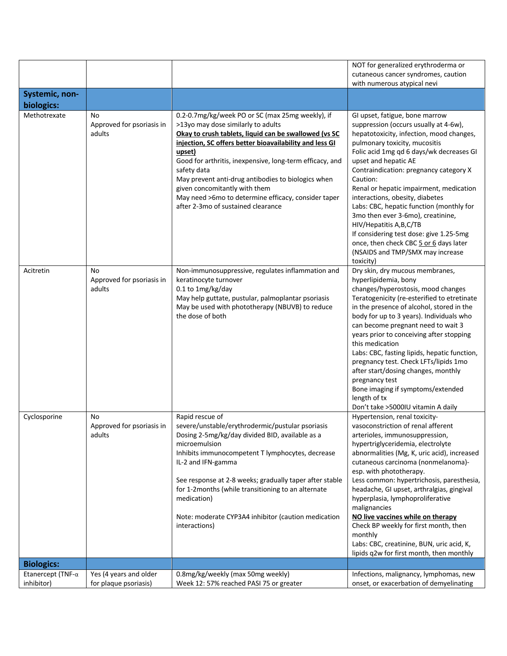|                                         |                                                 |                                                                                                                                                                                                                                                                                                                                                                                                                                                                                     | NOT for generalized erythroderma or<br>cutaneous cancer syndromes, caution<br>with numerous atypical nevi                                                                                                                                                                                                                                                                                                                                                                                                                                                                                                       |
|-----------------------------------------|-------------------------------------------------|-------------------------------------------------------------------------------------------------------------------------------------------------------------------------------------------------------------------------------------------------------------------------------------------------------------------------------------------------------------------------------------------------------------------------------------------------------------------------------------|-----------------------------------------------------------------------------------------------------------------------------------------------------------------------------------------------------------------------------------------------------------------------------------------------------------------------------------------------------------------------------------------------------------------------------------------------------------------------------------------------------------------------------------------------------------------------------------------------------------------|
| Systemic, non-<br>biologics:            |                                                 |                                                                                                                                                                                                                                                                                                                                                                                                                                                                                     |                                                                                                                                                                                                                                                                                                                                                                                                                                                                                                                                                                                                                 |
| Methotrexate                            | No<br>Approved for psoriasis in<br>adults       | 0.2-0.7mg/kg/week PO or SC (max 25mg weekly), if<br>>13yo may dose similarly to adults<br>Okay to crush tablets, liquid can be swallowed (vs SC<br>injection, SC offers better bioavailability and less GI<br>upset)<br>Good for arthritis, inexpensive, long-term efficacy, and<br>safety data<br>May prevent anti-drug antibodies to biologics when<br>given concomitantly with them<br>May need >6mo to determine efficacy, consider taper<br>after 2-3mo of sustained clearance | GI upset, fatigue, bone marrow<br>suppression (occurs usually at 4-6w),<br>hepatotoxicity, infection, mood changes,<br>pulmonary toxicity, mucositis<br>Folic acid 1mg qd 6 days/wk decreases GI<br>upset and hepatic AE<br>Contraindication: pregnancy category X<br>Caution:<br>Renal or hepatic impairment, medication<br>interactions, obesity, diabetes<br>Labs: CBC, hepatic function (monthly for<br>3mo then ever 3-6mo), creatinine,<br>HIV/Hepatitis A, B, C/TB<br>If considering test dose: give 1.25-5mg<br>once, then check CBC 5 or 6 days later<br>(NSAIDS and TMP/SMX may increase<br>toxicity) |
| Acitretin                               | No<br>Approved for psoriasis in<br>adults       | Non-immunosuppressive, regulates inflammation and<br>keratinocyte turnover<br>0.1 to 1mg/kg/day<br>May help guttate, pustular, palmoplantar psoriasis<br>May be used with phototherapy (NBUVB) to reduce<br>the dose of both                                                                                                                                                                                                                                                        | Dry skin, dry mucous membranes,<br>hyperlipidemia, bony<br>changes/hyperostosis, mood changes<br>Teratogenicity (re-esterified to etretinate<br>in the presence of alcohol, stored in the<br>body for up to 3 years). Individuals who<br>can become pregnant need to wait 3<br>years prior to conceiving after stopping<br>this medication<br>Labs: CBC, fasting lipids, hepatic function,<br>pregnancy test. Check LFTs/lipids 1mo<br>after start/dosing changes, monthly<br>pregnancy test<br>Bone imaging if symptoms/extended<br>length of tx<br>Don't take >5000IU vitamin A daily                         |
| Cyclosporine                            | No<br>Approved for psoriasis in<br>adults       | Rapid rescue of<br>severe/unstable/erythrodermic/pustular psoriasis<br>Dosing 2-5mg/kg/day divided BID, available as a<br>microemulsion<br>Inhibits immunocompetent T lymphocytes, decrease<br>IL-2 and IFN-gamma<br>See response at 2-8 weeks; gradually taper after stable<br>for 1-2months (while transitioning to an alternate<br>medication)<br>Note: moderate CYP3A4 inhibitor (caution medication<br>interactions)                                                           | Hypertension, renal toxicity-<br>vasoconstriction of renal afferent<br>arterioles, immunosuppression,<br>hypertriglyceridemia, electrolyte<br>abnormalities (Mg, K, uric acid), increased<br>cutaneous carcinoma (nonmelanoma)-<br>esp. with phototherapy.<br>Less common: hypertrichosis, paresthesia,<br>headache, GI upset, arthralgias, gingival<br>hyperplasia, lymphoproliferative<br>malignancies<br>NO live vaccines while on therapy<br>Check BP weekly for first month, then<br>monthly<br>Labs: CBC, creatinine, BUN, uric acid, K,<br>lipids q2w for first month, then monthly                      |
| <b>Biologics:</b>                       |                                                 |                                                                                                                                                                                                                                                                                                                                                                                                                                                                                     |                                                                                                                                                                                                                                                                                                                                                                                                                                                                                                                                                                                                                 |
| Etanercept (TNF- $\alpha$<br>inhibitor) | Yes (4 years and older<br>for plaque psoriasis) | 0.8mg/kg/weekly (max 50mg weekly)<br>Week 12: 57% reached PASI 75 or greater                                                                                                                                                                                                                                                                                                                                                                                                        | Infections, malignancy, lymphomas, new<br>onset, or exacerbation of demyelinating                                                                                                                                                                                                                                                                                                                                                                                                                                                                                                                               |